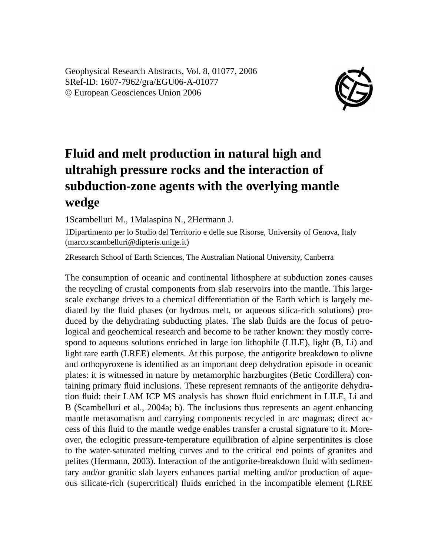Geophysical Research Abstracts, Vol. 8, 01077, 2006 SRef-ID: 1607-7962/gra/EGU06-A-01077 © European Geosciences Union 2006



## **Fluid and melt production in natural high and ultrahigh pressure rocks and the interaction of subduction-zone agents with the overlying mantle wedge**

1Scambelluri M., 1Malaspina N., 2Hermann J.

1Dipartimento per lo Studio del Territorio e delle sue Risorse, University of Genova, Italy (marco.scambelluri@dipteris.unige.it)

2Research School of Earth Sciences, The Australian National University, Canberra

The consumption of oceanic and continental lithosphere at subduction zones causes the recycling of crustal components from slab reservoirs into the mantle. This largescale exchange drives to a chemical differentiation of the Earth which is largely mediated by the fluid phases (or hydrous melt, or aqueous silica-rich solutions) produced by the dehydrating subducting plates. The slab fluids are the focus of petrological and geochemical research and become to be rather known: they mostly correspond to aqueous solutions enriched in large ion lithophile (LILE), light (B, Li) and light rare earth (LREE) elements. At this purpose, the antigorite breakdown to olivne and orthopyroxene is identified as an important deep dehydration episode in oceanic plates: it is witnessed in nature by metamorphic harzburgites (Betic Cordillera) containing primary fluid inclusions. These represent remnants of the antigorite dehydration fluid: their LAM ICP MS analysis has shown fluid enrichment in LILE, Li and B (Scambelluri et al., 2004a; b). The inclusions thus represents an agent enhancing mantle metasomatism and carrying components recycled in arc magmas; direct access of this fluid to the mantle wedge enables transfer a crustal signature to it. Moreover, the eclogitic pressure-temperature equilibration of alpine serpentinites is close to the water-saturated melting curves and to the critical end points of granites and pelites (Hermann, 2003). Interaction of the antigorite-breakdown fluid with sedimentary and/or granitic slab layers enhances partial melting and/or production of aqueous silicate-rich (supercritical) fluids enriched in the incompatible element (LREE